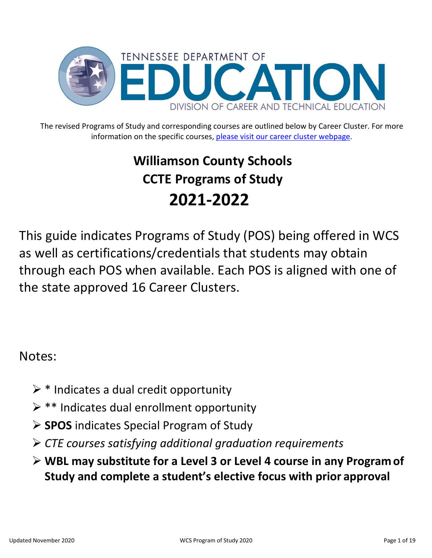

The revised Programs of Study and corresponding courses are outlined below by Career Cluster. For more information on the specific courses, [please visit our career cluster webpage.](https://www.tn.gov/content/dam/tn/education/ccte/cte/202021_CourseandProgramofStudyMatrix_Oct2020.pdf)

# **Williamson County Schools CCTE Programs of Study 2021-2022**

This guide indicates Programs of Study (POS) being offered in WCS as well as certifications/credentials that students may obtain through each POS when available. Each POS is aligned with one of the state approved 16 Career Clusters.

#### Notes:

- $\triangleright$  \* Indicates a dual credit opportunity
- $\triangleright$  \*\* Indicates dual enrollment opportunity
- **SPOS** indicates Special Program of Study
- *CTE courses satisfying additional graduation requirements*
- **WBL may substitute for a Level 3 or Level 4 course in any Program of Study and complete a student's elective focus with prior approval**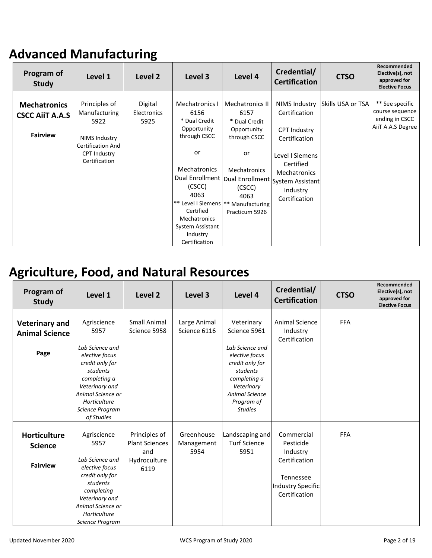### **Advanced Manufacturing**

| Program of<br><b>Study</b>                                       | Level 1                                                                                                                     | Level 2                               | Level 3                                                                                                                                                                                                                               | Level 4                                                                                                                                                                                                               | Credential/<br><b>Certification</b>                                                                                                                        | <b>CTSO</b>       | Recommended<br>Elective(s), not<br>approved for<br><b>Elective Focus</b>  |
|------------------------------------------------------------------|-----------------------------------------------------------------------------------------------------------------------------|---------------------------------------|---------------------------------------------------------------------------------------------------------------------------------------------------------------------------------------------------------------------------------------|-----------------------------------------------------------------------------------------------------------------------------------------------------------------------------------------------------------------------|------------------------------------------------------------------------------------------------------------------------------------------------------------|-------------------|---------------------------------------------------------------------------|
| <b>Mechatronics</b><br><b>CSCC AIIT A.A.S</b><br><b>Fairview</b> | Principles of<br>Manufacturing<br>5922<br>NIMS Industry<br><b>Certification And</b><br><b>CPT Industry</b><br>Certification | Digital<br><b>Electronics</b><br>5925 | Mechatronics I<br>6156<br>* Dual Credit<br>Opportunity<br>through CSCC<br>or<br><b>Mechatronics</b><br>(CSCC)<br>4063<br>** Level I Siemens   **<br>Certified<br><b>Mechatronics</b><br>System Assistant<br>Industry<br>Certification | Mechatronics II<br>6157<br>* Dual Credit<br>Opportunity<br>through CSCC<br>or<br><b>Mechatronics</b><br>  Dual Enrollment   Dual Enrollment   System Assistant  <br>(CSCC)<br>4063<br>Manufacturing<br>Practicum 5926 | <b>NIMS Industry</b><br>Certification<br><b>CPT Industry</b><br>Certification<br>Level I Siemens<br>Certified<br>Mechatronics<br>Industry<br>Certification | Skills USA or TSA | ** See specific<br>course sequence<br>ending in CSCC<br>AiiT A.A.S Degree |

#### **Agriculture, Food, and Natural Resources**

| Program of<br><b>Study</b>                               | Level 1                                                                                                                                                                         | Level 2                                                               | Level 3                          | Level 4                                                                                                                                                 | Credential/<br><b>Certification</b>                                                                     | <b>CTSO</b> | Recommended<br>Elective(s), not<br>approved for<br><b>Elective Focus</b> |
|----------------------------------------------------------|---------------------------------------------------------------------------------------------------------------------------------------------------------------------------------|-----------------------------------------------------------------------|----------------------------------|---------------------------------------------------------------------------------------------------------------------------------------------------------|---------------------------------------------------------------------------------------------------------|-------------|--------------------------------------------------------------------------|
| <b>Veterinary and</b><br><b>Animal Science</b>           | Agriscience<br>5957                                                                                                                                                             | <b>Small Animal</b><br>Science 5958                                   | Large Animal<br>Science 6116     | Veterinary<br>Science 5961                                                                                                                              | Animal Science<br>Industry<br>Certification                                                             | <b>FFA</b>  |                                                                          |
| Page                                                     | Lab Science and<br>elective focus<br>credit only for<br>students<br>completing a<br>Veterinary and<br>Animal Science or<br>Horticulture<br>Science Program<br>of Studies        |                                                                       |                                  | Lab Science and<br>elective focus<br>credit only for<br>students<br>completing a<br>Veterinary<br><b>Animal Science</b><br>Program of<br><b>Studies</b> |                                                                                                         |             |                                                                          |
| <b>Horticulture</b><br><b>Science</b><br><b>Fairview</b> | Agriscience<br>5957<br>Lab Science and<br>elective focus<br>credit only for<br>students<br>completing<br>Veterinary and<br>Animal Science or<br>Horticulture<br>Science Program | Principles of<br><b>Plant Sciences</b><br>and<br>Hydroculture<br>6119 | Greenhouse<br>Management<br>5954 | Landscaping and<br><b>Turf Science</b><br>5951                                                                                                          | Commercial<br>Pesticide<br>Industry<br>Certification<br>Tennessee<br>Industry Specific<br>Certification | <b>FFA</b>  |                                                                          |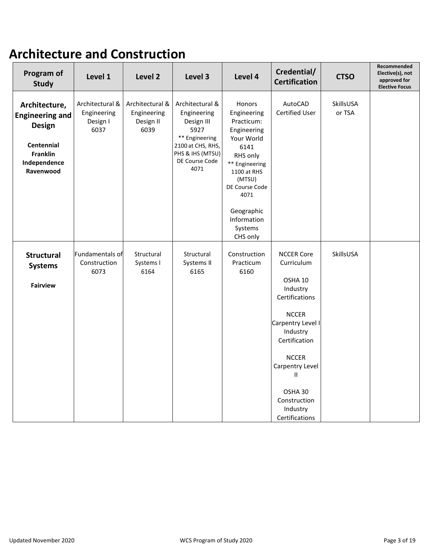### **Architecture and Construction**

| Program of<br><b>Study</b>                                                                                             | Level 1                                            | Level 2                                             | Level 3                                                                                                                                   | Level 4                                                                                                                                                                                                              | Credential/<br><b>Certification</b>                                                                                                                                                                                                         | <b>CTSO</b>         | Recommended<br>Elective(s), not<br>approved for<br><b>Elective Focus</b> |
|------------------------------------------------------------------------------------------------------------------------|----------------------------------------------------|-----------------------------------------------------|-------------------------------------------------------------------------------------------------------------------------------------------|----------------------------------------------------------------------------------------------------------------------------------------------------------------------------------------------------------------------|---------------------------------------------------------------------------------------------------------------------------------------------------------------------------------------------------------------------------------------------|---------------------|--------------------------------------------------------------------------|
| Architecture,<br><b>Engineering and</b><br>Design<br><b>Centennial</b><br><b>Franklin</b><br>Independence<br>Ravenwood | Architectural &<br>Engineering<br>Design I<br>6037 | Architectural &<br>Engineering<br>Design II<br>6039 | Architectural &<br>Engineering<br>Design III<br>5927<br>** Engineering<br>2100 at CHS, RHS,<br>PHS & IHS (MTSU)<br>DE Course Code<br>4071 | <b>Honors</b><br>Engineering<br>Practicum:<br>Engineering<br>Your World<br>6141<br>RHS only<br>** Engineering<br>1100 at RHS<br>(MTSU)<br>DE Course Code<br>4071<br>Geographic<br>Information<br>Systems<br>CHS only | AutoCAD<br>Certified User                                                                                                                                                                                                                   | SkillsUSA<br>or TSA |                                                                          |
| <b>Structural</b><br><b>Systems</b><br><b>Fairview</b>                                                                 | Fundamentals of<br>Construction<br>6073            | Structural<br>Systems I<br>6164                     | Structural<br>Systems II<br>6165                                                                                                          | Construction<br>Practicum<br>6160                                                                                                                                                                                    | <b>NCCER Core</b><br>Curriculum<br>OSHA 10<br>Industry<br>Certifications<br><b>NCCER</b><br>Carpentry Level I<br>Industry<br>Certification<br><b>NCCER</b><br>Carpentry Level<br>Ш<br>OSHA 30<br>Construction<br>Industry<br>Certifications | SkillsUSA           |                                                                          |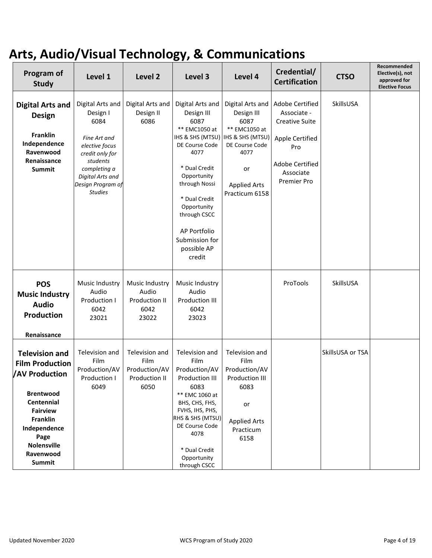### **Arts, Audio/Visual Technology, & Communications**

| Program of<br><b>Study</b>                                                                                                                                                                                                  | Level 1                                                                                                                                                                          | Level 2                                                          | Level 3                                                                                                                                                                                                                                       | Level 4                                                                                                                                                                 | Credential/<br><b>Certification</b>                                                                                              | <b>CTSO</b>      | Recommended<br>Elective(s), not<br>approved for<br><b>Elective Focus</b> |
|-----------------------------------------------------------------------------------------------------------------------------------------------------------------------------------------------------------------------------|----------------------------------------------------------------------------------------------------------------------------------------------------------------------------------|------------------------------------------------------------------|-----------------------------------------------------------------------------------------------------------------------------------------------------------------------------------------------------------------------------------------------|-------------------------------------------------------------------------------------------------------------------------------------------------------------------------|----------------------------------------------------------------------------------------------------------------------------------|------------------|--------------------------------------------------------------------------|
| <b>Digital Arts and</b><br><b>Design</b><br><b>Franklin</b><br>Independence<br>Ravenwood<br>Renaissance<br>Summit                                                                                                           | Digital Arts and<br>Design I<br>6084<br>Fine Art and<br>elective focus<br>credit only for<br>students<br>completing a<br>Digital Arts and<br>Design Program of<br><b>Studies</b> | Digital Arts and<br>Design II<br>6086                            | Digital Arts and<br>Design III<br>6087<br>** EMC1050 at<br>DE Course Code<br>4077<br>* Dual Credit<br>Opportunity<br>through Nossi<br>* Dual Credit<br>Opportunity<br>through CSCC<br>AP Portfolio<br>Submission for<br>possible AP<br>credit | Digital Arts and<br>Design III<br>6087<br>** EMC1050 at<br>IHS & SHS (MTSU)   IHS & SHS (MTSU)<br>DE Course Code<br>4077<br>or<br><b>Applied Arts</b><br>Practicum 6158 | Adobe Certified<br>Associate -<br><b>Creative Suite</b><br>Apple Certified<br>Pro<br>Adobe Certified<br>Associate<br>Premier Pro | SkillsUSA        |                                                                          |
| <b>POS</b><br><b>Music Industry</b><br><b>Audio</b><br>Production<br>Renaissance                                                                                                                                            | Music Industry<br>Audio<br>Production I<br>6042<br>23021                                                                                                                         | Music Industry<br>Audio<br><b>Production II</b><br>6042<br>23022 | Music Industry<br>Audio<br>Production III<br>6042<br>23023                                                                                                                                                                                    |                                                                                                                                                                         | ProTools                                                                                                                         | SkillsUSA        |                                                                          |
| <b>Television and</b><br><b>Film Production</b><br><b>AV Production</b><br><b>Brentwood</b><br>Centennial<br><b>Fairview</b><br><b>Franklin</b><br>Independence<br>Page<br><b>Nolensville</b><br>Ravenwood<br><b>Summit</b> | Television and<br>Film<br>Production/AV<br>Production I<br>6049                                                                                                                  | Television and<br>Film<br>Production/AV<br>Production II<br>6050 | Television and<br>Film<br>Production/AV<br>Production III<br>6083<br>** EMC 1060 at<br>BHS, CHS, FHS,<br>FVHS, IHS, PHS,<br>RHS & SHS (MTSU)<br>DE Course Code<br>4078<br>* Dual Credit<br>Opportunity<br>through CSCC                        | Television and<br>Film<br>Production/AV<br>Production III<br>6083<br>or<br><b>Applied Arts</b><br>Practicum<br>6158                                                     |                                                                                                                                  | SkillsUSA or TSA |                                                                          |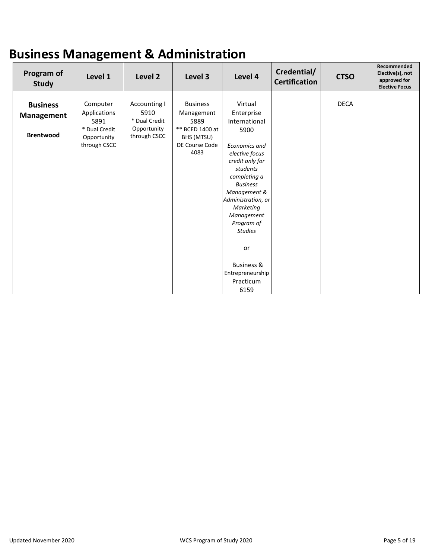### **Business Management & Administration**

| Program of<br><b>Study</b>                        | Level 1                                                                          | Level 2                                                              | Level 3                                                                                          | Level 4                                                                                                                                                                                                                     | Credential/<br><b>Certification</b> | <b>CTSO</b> | Recommended<br>Elective(s), not<br>approved for<br><b>Elective Focus</b> |
|---------------------------------------------------|----------------------------------------------------------------------------------|----------------------------------------------------------------------|--------------------------------------------------------------------------------------------------|-----------------------------------------------------------------------------------------------------------------------------------------------------------------------------------------------------------------------------|-------------------------------------|-------------|--------------------------------------------------------------------------|
| <b>Business</b><br>Management<br><b>Brentwood</b> | Computer<br>Applications<br>5891<br>* Dual Credit<br>Opportunity<br>through CSCC | Accounting I<br>5910<br>* Dual Credit<br>Opportunity<br>through CSCC | <b>Business</b><br>Management<br>5889<br>** BCED 1400 at<br>BHS (MTSU)<br>DE Course Code<br>4083 | Virtual<br>Enterprise<br>International<br>5900<br><b>Economics and</b><br>elective focus<br>credit only for<br>students<br>completing a<br><b>Business</b><br>Management &<br>Administration, or<br>Marketing<br>Management |                                     | <b>DECA</b> |                                                                          |
|                                                   |                                                                                  |                                                                      |                                                                                                  | Program of<br><b>Studies</b><br><b>or</b><br><b>Business &amp;</b><br>Entrepreneurship<br>Practicum<br>6159                                                                                                                 |                                     |             |                                                                          |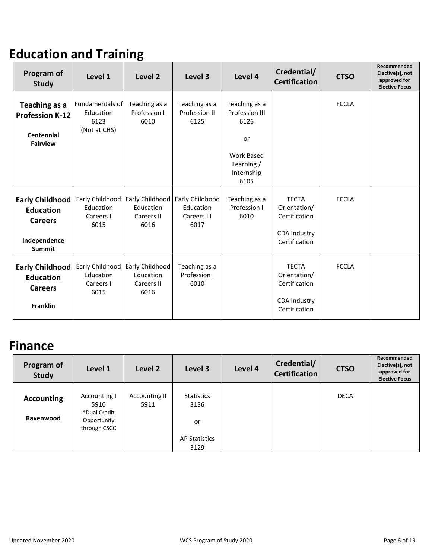### **Education and Training**

| Program of<br><b>Study</b>                                                                    | Level 1                                              | Level <sub>2</sub>                                 | Level 3                                             | Level 4                                                                                         | Credential/<br><b>Certification</b>                                                   | <b>CTSO</b>  | Recommended<br>Elective(s), not<br>approved for<br><b>Elective Focus</b> |
|-----------------------------------------------------------------------------------------------|------------------------------------------------------|----------------------------------------------------|-----------------------------------------------------|-------------------------------------------------------------------------------------------------|---------------------------------------------------------------------------------------|--------------|--------------------------------------------------------------------------|
| Teaching as a<br><b>Profession K-12</b><br><b>Centennial</b><br><b>Fairview</b>               | Fundamentals of<br>Education<br>6123<br>(Not at CHS) | Teaching as a<br>Profession I<br>6010              | Teaching as a<br>Profession II<br>6125              | Teaching as a<br>Profession III<br>6126<br>or<br>Work Based<br>Learning /<br>Internship<br>6105 |                                                                                       | <b>FCCLA</b> |                                                                          |
| <b>Early Childhood</b><br><b>Education</b><br><b>Careers</b><br>Independence<br><b>Summit</b> | Early Childhood<br>Education<br>Careers I<br>6015    | Early Childhood<br>Education<br>Careers II<br>6016 | Early Childhood<br>Education<br>Careers III<br>6017 | Teaching as a<br>Profession I<br>6010                                                           | <b>TECTA</b><br>Orientation/<br>Certification<br><b>CDA Industry</b><br>Certification | <b>FCCLA</b> |                                                                          |
| <b>Early Childhood</b><br><b>Education</b><br><b>Careers</b><br><b>Franklin</b>               | Early Childhood<br>Education<br>Careers I<br>6015    | Early Childhood<br>Education<br>Careers II<br>6016 | Teaching as a<br>Profession I<br>6010               |                                                                                                 | <b>TECTA</b><br>Orientation/<br>Certification<br><b>CDA Industry</b><br>Certification | <b>FCCLA</b> |                                                                          |

#### **Finance**

| Program of<br><b>Study</b> | Level 1                                                             | Level 2               | Level 3                         | Level 4 | Credential/<br><b>Certification</b> | <b>CTSO</b> | Recommended<br>Elective(s), not<br>approved for<br><b>Elective Focus</b> |
|----------------------------|---------------------------------------------------------------------|-----------------------|---------------------------------|---------|-------------------------------------|-------------|--------------------------------------------------------------------------|
| Accounting<br>Ravenwood    | Accounting I<br>5910<br>*Dual Credit<br>Opportunity<br>through CSCC | Accounting II<br>5911 | <b>Statistics</b><br>3136<br>or |         |                                     | <b>DECA</b> |                                                                          |
|                            |                                                                     |                       | <b>AP Statistics</b><br>3129    |         |                                     |             |                                                                          |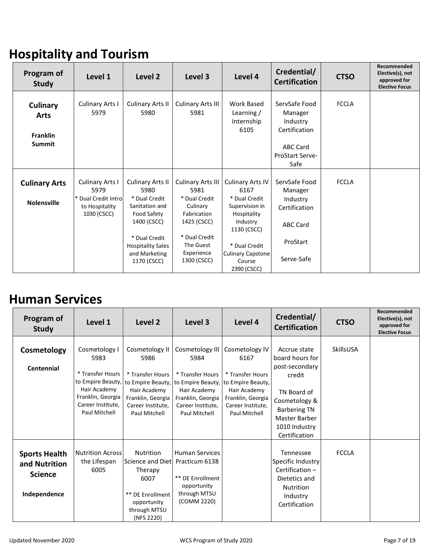### **Hospitality and Tourism**

| Program of<br><b>Study</b>       | Level 1                                                      | Level 2                                                               | Level 3                                                         | Level 4                                                            | Credential/<br><b>Certification</b>                     | <b>CTSO</b>  | Recommended<br>Elective(s), not<br>approved for<br><b>Elective Focus</b> |
|----------------------------------|--------------------------------------------------------------|-----------------------------------------------------------------------|-----------------------------------------------------------------|--------------------------------------------------------------------|---------------------------------------------------------|--------------|--------------------------------------------------------------------------|
| Culinary<br>Arts                 | <b>Culinary Arts I</b><br>5979                               | <b>Culinary Arts II</b><br>5980                                       | <b>Culinary Arts III</b><br>5981                                | Work Based<br>Learning /<br>Internship<br>6105                     | ServSafe Food<br>Manager<br>Industry<br>Certification   | <b>FCCLA</b> |                                                                          |
| <b>Franklin</b><br><b>Summit</b> |                                                              |                                                                       |                                                                 |                                                                    | <b>ABC Card</b><br>ProStart Serve-<br>Safe              |              |                                                                          |
| <b>Culinary Arts</b>             | <b>Culinary Arts I</b>                                       | <b>Culinary Arts II</b>                                               | <b>Culinary Arts III</b>                                        | <b>Culinary Arts IV</b>                                            | ServSafe Food                                           | <b>FCCLA</b> |                                                                          |
| <b>Nolensville</b>               | 5979<br>* Dual Credit Intro<br>to Hospitality<br>1030 (CSCC) | 5980<br>* Dual Credit<br>Sanitation and<br>Food Safety<br>1400 (CSCC) | 5981<br>* Dual Credit<br>Culinary<br>Fabrication<br>1425 (CSCC) | 6167<br>* Dual Credit<br>Supervision in<br>Hospitality<br>Industry | Manager<br>Industry<br>Certification<br><b>ABC Card</b> |              |                                                                          |
|                                  |                                                              | * Dual Credit<br><b>Hospitality Sales</b>                             | * Dual Credit<br>The Guest                                      | 1130 (CSCC)<br>* Dual Credit                                       | ProStart                                                |              |                                                                          |
|                                  |                                                              | and Marketing<br>1170 (CSCC)                                          | Experience<br>1300 (CSCC)                                       | <b>Culinary Capstone</b><br>Course<br>2390 (CSCC)                  | Serve-Safe                                              |              |                                                                          |

#### **Human Services**

| Program of<br><b>Study</b>                                              | Level 1                                                                                                                                   | Level 2                                                                                                                                    | Level 3                                                                                                                                     | Level 4                                                                                                                                    | Credential/<br><b>Certification</b>                                                                                                                                   | <b>CTSO</b>      | Recommended<br>Elective(s), not<br>approved for<br><b>Elective Focus</b> |
|-------------------------------------------------------------------------|-------------------------------------------------------------------------------------------------------------------------------------------|--------------------------------------------------------------------------------------------------------------------------------------------|---------------------------------------------------------------------------------------------------------------------------------------------|--------------------------------------------------------------------------------------------------------------------------------------------|-----------------------------------------------------------------------------------------------------------------------------------------------------------------------|------------------|--------------------------------------------------------------------------|
| Cosmetology<br><b>Centennial</b>                                        | Cosmetology I<br>5983<br>* Transfer Hours<br>to Empire Beauty,<br>Hair Academy<br>Franklin, Georgia<br>Career Institute.<br>Paul Mitchell | Cosmetology II<br>5986<br>* Transfer Hours<br>to Empire Beauty,<br>Hair Academy<br>Franklin, Georgia<br>Career Institute.<br>Paul Mitchell | Cosmetology III<br>5984<br>* Transfer Hours<br>to Empire Beauty,<br>Hair Academy<br>Franklin, Georgia<br>Career Institute.<br>Paul Mitchell | Cosmetology IV<br>6167<br>* Transfer Hours<br>to Empire Beauty,<br>Hair Academy<br>Franklin, Georgia<br>Career Institute.<br>Paul Mitchell | Accrue state<br>board hours for<br>post-secondary<br>credit<br>TN Board of<br>Cosmetology &<br><b>Barbering TN</b><br>Master Barber<br>1010 Industry<br>Certification | <b>SkillsUSA</b> |                                                                          |
| <b>Sports Health</b><br>and Nutrition<br><b>Science</b><br>Independence | <b>Nutrition Across</b><br>the Lifespan<br>6005                                                                                           | Nutrition<br>Science and Dietl Practicum 6138<br>Therapy<br>6007<br>** DE Enrollment<br>opportunity<br>through MTSU<br>(NFS 2220)          | <b>Human Services</b><br>** DE Enrollment<br>opportunity<br>through MTSU<br>(COMM 2220)                                                     |                                                                                                                                            | Tennessee<br>Specific Industry<br>Certification-<br>Dietetics and<br><b>Nutrition</b><br>Industry<br>Certification                                                    | <b>FCCLA</b>     |                                                                          |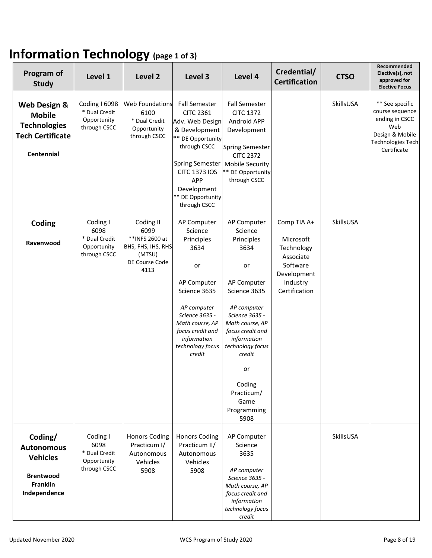### **Information Technology (page 1 of 3)**

| Program of<br><b>Study</b>                                                                             | Level 1                                                          | Level 2                                                                                        | Level 3                                                                                                                                                                                                                        | Level 4                                                                                                                                                                                                                                                             | Credential/<br><b>Certification</b>                                                                         | <b>CTSO</b> | Recommended<br>Elective(s), not<br>approved for<br><b>Elective Focus</b>                                                  |
|--------------------------------------------------------------------------------------------------------|------------------------------------------------------------------|------------------------------------------------------------------------------------------------|--------------------------------------------------------------------------------------------------------------------------------------------------------------------------------------------------------------------------------|---------------------------------------------------------------------------------------------------------------------------------------------------------------------------------------------------------------------------------------------------------------------|-------------------------------------------------------------------------------------------------------------|-------------|---------------------------------------------------------------------------------------------------------------------------|
| Web Design &<br><b>Mobile</b><br><b>Technologies</b><br><b>Tech Certificate</b><br>Centennial          | Coding I 6098<br>* Dual Credit<br>Opportunity<br>through CSCC    | <b>Web Foundations</b><br>6100<br>* Dual Credit<br>Opportunity<br>through CSCC                 | <b>Fall Semester</b><br><b>CITC 2361</b><br>Adv. Web Design<br>& Development<br>** DE Opportunity<br>through CSCC<br><b>Spring Semester</b><br><b>CITC 1373 IOS</b><br>APP<br>Development<br>** DE Opportunity<br>through CSCC | <b>Fall Semester</b><br><b>CITC 1372</b><br>Android APP<br>Development<br><b>Spring Semester</b><br><b>CITC 2372</b><br><b>Mobile Security</b><br>** DE Opportunity<br>through CSCC                                                                                 |                                                                                                             | SkillsUSA   | ** See specific<br>course sequence<br>ending in CSCC<br>Web<br>Design & Mobile<br><b>Technologies Tech</b><br>Certificate |
| Coding<br>Ravenwood                                                                                    | Coding I<br>6098<br>* Dual Credit<br>Opportunity<br>through CSCC | Coding II<br>6099<br>** INFS 2600 at<br>BHS, FHS, IHS, RHS<br>(MTSU)<br>DE Course Code<br>4113 | AP Computer<br>Science<br>Principles<br>3634<br>or<br>AP Computer<br>Science 3635<br>AP computer<br>Science 3635 -<br>Math course, AP<br>focus credit and<br>information<br>technology focus<br>credit                         | AP Computer<br>Science<br>Principles<br>3634<br>or<br>AP Computer<br>Science 3635<br>AP computer<br>Science 3635 -<br>Math course, AP<br>focus credit and<br>information<br>technology focus<br>credit<br>or<br>Coding<br>Practicum/<br>Game<br>Programming<br>5908 | Comp TIA A+<br>Microsoft<br>Technology<br>Associate<br>Software<br>Development<br>Industry<br>Certification | SkillsUSA   |                                                                                                                           |
| Coding/<br><b>Autonomous</b><br><b>Vehicles</b><br><b>Brentwood</b><br><b>Franklin</b><br>Independence | Coding I<br>6098<br>* Dual Credit<br>Opportunity<br>through CSCC | <b>Honors Coding</b><br>Practicum I/<br>Autonomous<br>Vehicles<br>5908                         | <b>Honors Coding</b><br>Practicum II/<br>Autonomous<br>Vehicles<br>5908                                                                                                                                                        | AP Computer<br>Science<br>3635<br>AP computer<br>Science 3635 -<br>Math course, AP<br>focus credit and<br>information<br>technology focus<br>credit                                                                                                                 |                                                                                                             | SkillsUSA   |                                                                                                                           |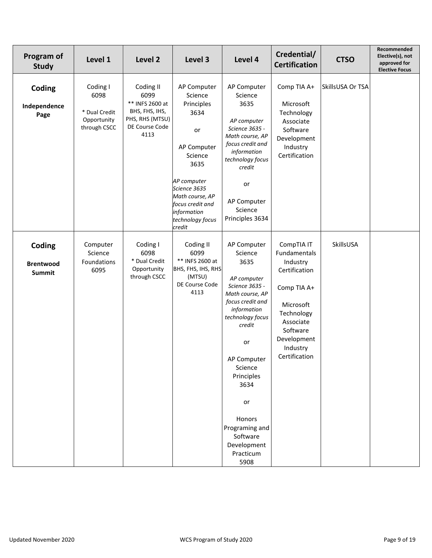| Program of<br>Study                         | Level 1                                                          | Level 2                                                                                             | Level 3                                                                                                                                                                                                 | Level 4                                                                                                                                                                                                                                                                                     | Credential/<br><b>Certification</b>                                                                                                                                    | <b>CTSO</b>      | Recommended<br>Elective(s), not<br>approved for<br><b>Elective Focus</b> |
|---------------------------------------------|------------------------------------------------------------------|-----------------------------------------------------------------------------------------------------|---------------------------------------------------------------------------------------------------------------------------------------------------------------------------------------------------------|---------------------------------------------------------------------------------------------------------------------------------------------------------------------------------------------------------------------------------------------------------------------------------------------|------------------------------------------------------------------------------------------------------------------------------------------------------------------------|------------------|--------------------------------------------------------------------------|
| Coding<br>Independence<br>Page              | Coding I<br>6098<br>* Dual Credit<br>Opportunity<br>through CSCC | Coding II<br>6099<br>** INFS 2600 at<br>BHS, FHS, IHS,<br>PHS, RHS (MTSU)<br>DE Course Code<br>4113 | AP Computer<br>Science<br>Principles<br>3634<br>or<br>AP Computer<br>Science<br>3635<br>AP computer<br>Science 3635<br>Math course, AP<br>focus credit and<br>information<br>technology focus<br>credit | AP Computer<br>Science<br>3635<br>AP computer<br>Science 3635 -<br>Math course, AP<br>focus credit and<br>information<br>technology focus<br>credit<br>or<br>AP Computer<br>Science<br>Principles 3634                                                                                      | Comp TIA A+<br>Microsoft<br>Technology<br>Associate<br>Software<br>Development<br>Industry<br>Certification                                                            | SkillsUSA Or TSA |                                                                          |
| Coding<br><b>Brentwood</b><br><b>Summit</b> | Computer<br>Science<br>Foundations<br>6095                       | Coding I<br>6098<br>* Dual Credit<br>Opportunity<br>through CSCC                                    | Coding II<br>6099<br>** INFS 2600 at<br>BHS, FHS, IHS, RHS<br>(MTSU)<br>DE Course Code<br>4113                                                                                                          | AP Computer<br>Science<br>3635<br>AP computer<br>Science 3635 -<br>Math course, AP<br>focus credit and<br>information<br>technology focus<br>credit<br>or<br>AP Computer<br>Science<br>Principles<br>3634<br>or<br>Honors<br>Programing and<br>Software<br>Development<br>Practicum<br>5908 | CompTIA IT<br>Fundamentals<br>Industry<br>Certification<br>Comp TIA A+<br>Microsoft<br>Technology<br>Associate<br>Software<br>Development<br>Industry<br>Certification | SkillsUSA        |                                                                          |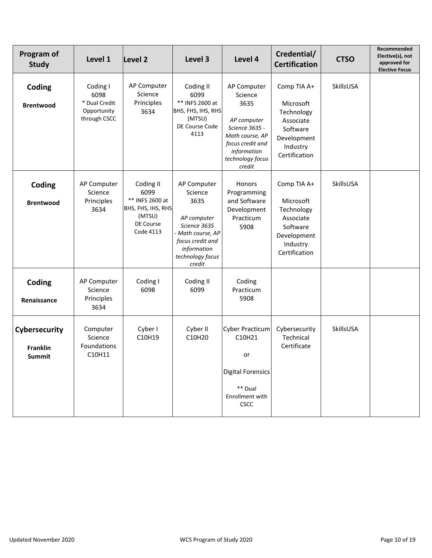| Program of<br><b>Study</b>                 | Level 1                                                          | Level <sub>2</sub>                                                                             | Level 3                                                                                                                                           | Level 4                                                                                                                                             | Credential/<br><b>Certification</b>                                                                         | <b>CTSO</b> | Recommended<br>Elective(s), not<br>approved for<br><b>Elective Focus</b> |
|--------------------------------------------|------------------------------------------------------------------|------------------------------------------------------------------------------------------------|---------------------------------------------------------------------------------------------------------------------------------------------------|-----------------------------------------------------------------------------------------------------------------------------------------------------|-------------------------------------------------------------------------------------------------------------|-------------|--------------------------------------------------------------------------|
| Coding<br><b>Brentwood</b>                 | Coding I<br>6098<br>* Dual Credit<br>Opportunity<br>through CSCC | AP Computer<br>Science<br>Principles<br>3634                                                   | Coding II<br>6099<br>** INFS 2600 at<br>BHS, FHS, IHS, RHS<br>(MTSU)<br>DE Course Code<br>4113                                                    | AP Computer<br>Science<br>3635<br>AP computer<br>Science 3635 -<br>Math course, AP<br>focus credit and<br>information<br>technology focus<br>credit | Comp TIA A+<br>Microsoft<br>Technology<br>Associate<br>Software<br>Development<br>Industry<br>Certification | SkillsUSA   |                                                                          |
| Coding<br><b>Brentwood</b>                 | AP Computer<br>Science<br>Principles<br>3634                     | Coding II<br>6099<br>** INFS 2600 at<br>BHS, FHS, IHS, RHS<br>(MTSU)<br>DE Course<br>Code 4113 | AP Computer<br>Science<br>3635<br>AP computer<br>Science 3635<br>Math course, AP<br>focus credit and<br>information<br>technology focus<br>credit | Honors<br>Programming<br>and Software<br>Development<br>Practicum<br>5908                                                                           | Comp TIA A+<br>Microsoft<br>Technology<br>Associate<br>Software<br>Development<br>Industry<br>Certification | SkillsUSA   |                                                                          |
| Coding<br>Renaissance                      | AP Computer<br>Science<br>Principles<br>3634                     | Coding I<br>6098                                                                               | Coding II<br>6099                                                                                                                                 | Coding<br>Practicum<br>5908                                                                                                                         |                                                                                                             |             |                                                                          |
| Cybersecurity<br><b>Franklin</b><br>Summit | Computer<br>Science<br>Foundations<br>C10H11                     | Cyber I<br>C10H19                                                                              | Cyber II<br>C10H20                                                                                                                                | <b>Cyber Practicum</b><br>C10H21<br>or<br><b>Digital Forensics</b><br>** Dual<br>Enrollment with<br>CSCC                                            | Cybersecurity<br>Technical<br>Certificate                                                                   | SkillsUSA   |                                                                          |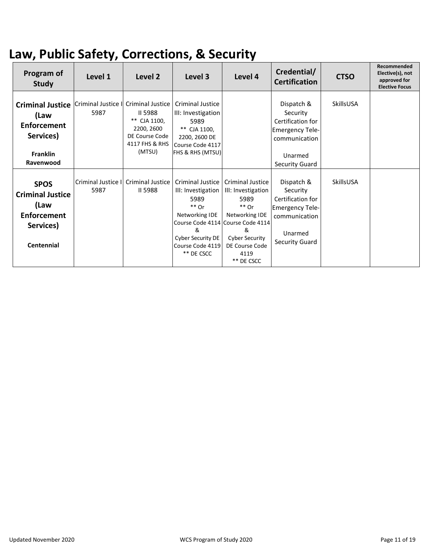### **Law, Public Safety, Corrections, & Security**

| Program of<br><b>Study</b>                                                                                                        | Level 1                    | Level <sub>2</sub>                                                                  | Level 3                                                                                                                                        | Level 4                                                                                                                                                                                | Credential/<br><b>Certification</b>                                                                                        | <b>CTSO</b> | Recommended<br>Elective(s), not<br>approved for<br><b>Elective Focus</b> |
|-----------------------------------------------------------------------------------------------------------------------------------|----------------------------|-------------------------------------------------------------------------------------|------------------------------------------------------------------------------------------------------------------------------------------------|----------------------------------------------------------------------------------------------------------------------------------------------------------------------------------------|----------------------------------------------------------------------------------------------------------------------------|-------------|--------------------------------------------------------------------------|
| Criminal Justice   Criminal Justice I Criminal Justice<br>(Law<br><b>Enforcement</b><br>Services)<br><b>Franklin</b><br>Ravenwood | 5987                       | II 5988<br>** CJA 1100,<br>2200, 2600<br>DE Course Code<br>4117 FHS & RHS<br>(MTSU) | <b>Criminal Justice</b><br>III: Investigation<br>5989<br>** CJA 1100,<br>2200, 2600 DE<br>Course Code 4117<br><b>FHS &amp; RHS (MTSU)</b>      |                                                                                                                                                                                        | Dispatch &<br>Security<br>Certification for<br><b>Emergency Tele-</b><br>communication<br>Unarmed<br><b>Security Guard</b> | SkillsUSA   |                                                                          |
| <b>SPOS</b><br><b>Criminal Justice</b><br>(Law<br><b>Enforcement</b><br>Services)<br><b>Centennial</b>                            | Criminal Justice I<br>5987 | <b>Criminal Justice</b><br>II 5988                                                  | <b>Criminal Justice</b><br>III: Investigation<br>5989<br>$**$ Or<br>Networking IDE<br>&<br>Cyber Security DE<br>Course Code 4119<br>** DE CSCC | Criminal Justice<br>III: Investigation<br>5989<br>$**$ Or<br>Networking IDE<br>Course Code 4114 Course Code 4114<br>&<br><b>Cyber Security</b><br>DE Course Code<br>4119<br>** DE CSCC | Dispatch &<br>Security<br>Certification for<br><b>Emergency Tele-</b><br>communication<br>Unarmed<br>Security Guard        | SkillsUSA   |                                                                          |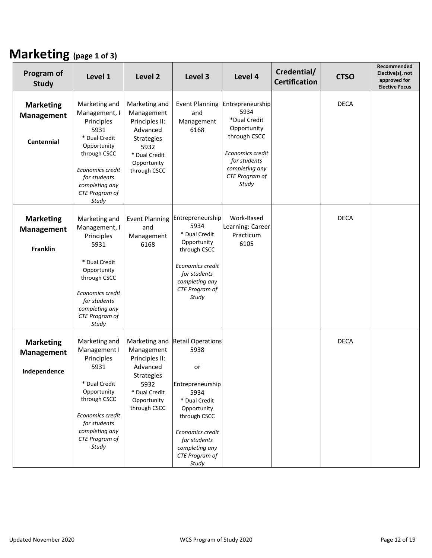#### **Marketing (page 1 of 3)**

| Program of<br><b>Study</b>                               | Level 1                                                                                                                       | Level 2                                                                         | Level 3                                                                                                                                                   | Level 4                                                                       | Credential/<br><b>Certification</b> | <b>CTSO</b> | Recommended<br>Elective(s), not<br>approved for<br><b>Elective Focus</b> |
|----------------------------------------------------------|-------------------------------------------------------------------------------------------------------------------------------|---------------------------------------------------------------------------------|-----------------------------------------------------------------------------------------------------------------------------------------------------------|-------------------------------------------------------------------------------|-------------------------------------|-------------|--------------------------------------------------------------------------|
| <b>Marketing</b><br>Management<br><b>Centennial</b>      | Marketing and<br>Management, I<br>Principles<br>5931<br>* Dual Credit<br>Opportunity                                          | Marketing and<br>Management<br>Principles II:<br>Advanced<br>Strategies<br>5932 | <b>Event Planning</b><br>and<br>Management<br>6168                                                                                                        | Entrepreneurship<br>5934<br>*Dual Credit<br>Opportunity<br>through CSCC       |                                     | <b>DECA</b> |                                                                          |
|                                                          | through CSCC<br>Economics credit<br>for students<br>completing any<br>CTE Program of<br>Study                                 | * Dual Credit<br>Opportunity<br>through CSCC                                    |                                                                                                                                                           | Economics credit<br>for students<br>completing any<br>CTE Program of<br>Study |                                     |             |                                                                          |
| <b>Marketing</b><br><b>Management</b><br><b>Franklin</b> | Marketing and<br>Management, I<br>Principles<br>5931                                                                          | <b>Event Planning</b><br>and<br>Management<br>6168                              | Entrepreneurship<br>5934<br>* Dual Credit<br>Opportunity<br>through CSCC                                                                                  | Work-Based<br>Learning: Career<br>Practicum<br>6105                           |                                     | <b>DECA</b> |                                                                          |
|                                                          | * Dual Credit<br>Opportunity<br>through CSCC<br>Economics credit<br>for students<br>completing any<br>CTE Program of<br>Study |                                                                                 | Economics credit<br>for students<br>completing any<br>CTE Program of<br>Study                                                                             |                                                                               |                                     |             |                                                                          |
| <b>Marketing</b><br><b>Management</b><br>Independence    | Marketing and<br>Management I<br>Principles<br>5931                                                                           | Marketing and<br>Management<br>Principles II:<br>Advanced                       | <b>Retail Operations</b><br>5938<br>or                                                                                                                    |                                                                               |                                     | <b>DECA</b> |                                                                          |
|                                                          | * Dual Credit<br>Opportunity<br>through CSCC<br>Economics credit<br>for students<br>completing any<br>CTE Program of<br>Study | Strategies<br>5932<br>* Dual Credit<br>Opportunity<br>through CSCC              | Entrepreneurship<br>5934<br>* Dual Credit<br>Opportunity<br>through CSCC<br>Economics credit<br>for students<br>completing any<br>CTE Program of<br>Study |                                                                               |                                     |             |                                                                          |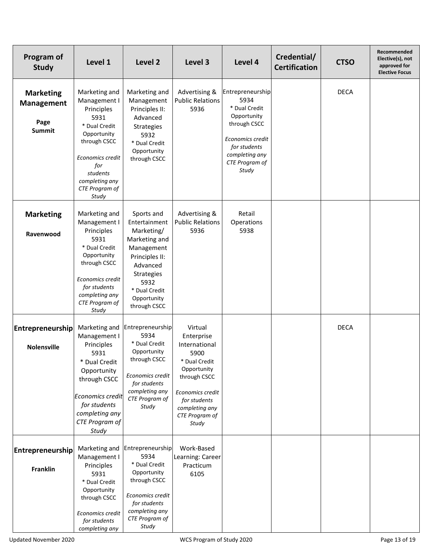| Program of<br><b>Study</b>                                     | Level 1                                                                                                                                                                                 | Level 2                                                                                                                                                                      | Level 3                                                                                                                                                                         | Level 4                                                                                                                                                   | Credential/<br><b>Certification</b> | <b>CTSO</b> | Recommended<br>Elective(s), not<br>approved for<br><b>Elective Focus</b> |
|----------------------------------------------------------------|-----------------------------------------------------------------------------------------------------------------------------------------------------------------------------------------|------------------------------------------------------------------------------------------------------------------------------------------------------------------------------|---------------------------------------------------------------------------------------------------------------------------------------------------------------------------------|-----------------------------------------------------------------------------------------------------------------------------------------------------------|-------------------------------------|-------------|--------------------------------------------------------------------------|
| <b>Marketing</b><br><b>Management</b><br>Page<br><b>Summit</b> | Marketing and<br>Management I<br>Principles<br>5931<br>* Dual Credit<br>Opportunity<br>through CSCC<br>Economics credit<br>for<br>students<br>completing any<br>CTE Program of<br>Study | Marketing and<br>Management<br>Principles II:<br>Advanced<br>Strategies<br>5932<br>* Dual Credit<br>Opportunity<br>through CSCC                                              | Advertising &<br><b>Public Relations</b><br>5936                                                                                                                                | Entrepreneurship<br>5934<br>* Dual Credit<br>Opportunity<br>through CSCC<br>Economics credit<br>for students<br>completing any<br>CTE Program of<br>Study |                                     | <b>DECA</b> |                                                                          |
| <b>Marketing</b><br>Ravenwood                                  | Marketing and<br>Management I<br>Principles<br>5931<br>* Dual Credit<br>Opportunity<br>through CSCC<br>Economics credit<br>for students<br>completing any<br>CTE Program of<br>Study    | Sports and<br>Entertainment<br>Marketing/<br>Marketing and<br>Management<br>Principles II:<br>Advanced<br>Strategies<br>5932<br>* Dual Credit<br>Opportunity<br>through CSCC | Advertising &<br><b>Public Relations</b><br>5936                                                                                                                                | Retail<br>Operations<br>5938                                                                                                                              |                                     |             |                                                                          |
| Entrepreneurship<br><b>Nolensville</b>                         | Marketing and<br>Management I<br>Principles<br>5931<br>* Dual Credit<br>Opportunity<br>through CSCC<br>Economics credit<br>for students<br>completing any<br>CTE Program of<br>Study    | Entrepreneurship<br>5934<br>* Dual Credit<br>Opportunity<br>through CSCC<br>Economics credit<br>for students<br>completing any<br>CTE Program of<br>Study                    | Virtual<br>Enterprise<br>International<br>5900<br>* Dual Credit<br>Opportunity<br>through CSCC<br>Economics credit<br>for students<br>completing any<br>CTE Program of<br>Study |                                                                                                                                                           |                                     | <b>DECA</b> |                                                                          |
| Entrepreneurship<br><b>Franklin</b>                            | Marketing and<br>Management I<br>Principles<br>5931<br>* Dual Credit<br>Opportunity<br>through CSCC<br>Economics credit<br>for students<br>completing any                               | Entrepreneurship<br>5934<br>* Dual Credit<br>Opportunity<br>through CSCC<br>Economics credit<br>for students<br>completing any<br>CTE Program of<br>Study                    | Work-Based<br>Learning: Career<br>Practicum<br>6105                                                                                                                             |                                                                                                                                                           |                                     |             |                                                                          |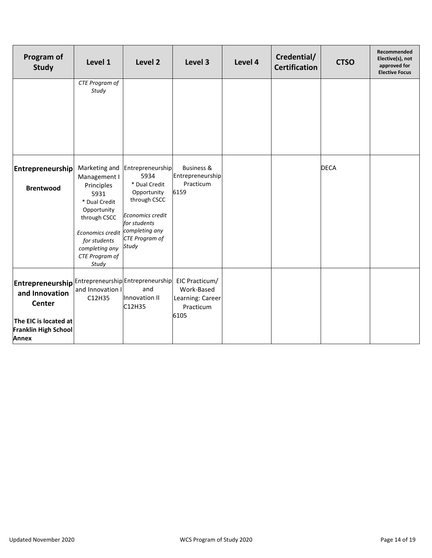| Program of<br><b>Study</b>                                                                                                                                                                          | Level 1                                                                                                                                             | Level 2                                                                                                                              | Level 3                                                               | Level 4 | Credential/<br><b>Certification</b> | <b>CTSO</b> | Recommended<br>Elective(s), not<br>approved for<br><b>Elective Focus</b> |
|-----------------------------------------------------------------------------------------------------------------------------------------------------------------------------------------------------|-----------------------------------------------------------------------------------------------------------------------------------------------------|--------------------------------------------------------------------------------------------------------------------------------------|-----------------------------------------------------------------------|---------|-------------------------------------|-------------|--------------------------------------------------------------------------|
|                                                                                                                                                                                                     | CTE Program of<br>Study                                                                                                                             |                                                                                                                                      |                                                                       |         |                                     |             |                                                                          |
| <b>Entrepreneurship</b>                                                                                                                                                                             | Marketing and<br>Management I                                                                                                                       | Entrepreneurship<br>5934                                                                                                             | <b>Business &amp;</b><br>Entrepreneurship                             |         |                                     | <b>DECA</b> |                                                                          |
| <b>Brentwood</b>                                                                                                                                                                                    | Principles<br>5931<br>* Dual Credit<br>Opportunity<br>through CSCC<br>Economics credit<br>for students<br>completing any<br>CTE Program of<br>Study | * Dual Credit<br>Opportunity<br>through CSCC<br>Economics credit<br>for students<br>completing any<br><b>CTE Program of</b><br>Study | Practicum<br>6159                                                     |         |                                     |             |                                                                          |
| $ \textsf{Enter}$ preneurship $ \textsf{Enter}$ epreneurship $ \textsf{Enter}$ epreneurship $ $<br>and Innovation<br>Center<br>The EIC is located at<br><b>Franklin High School</b><br><b>Annex</b> | and Innovation I<br>C12H35                                                                                                                          | and<br>Innovation II<br>C12H35                                                                                                       | EIC Practicum/<br>Work-Based<br>Learning: Career<br>Practicum<br>6105 |         |                                     |             |                                                                          |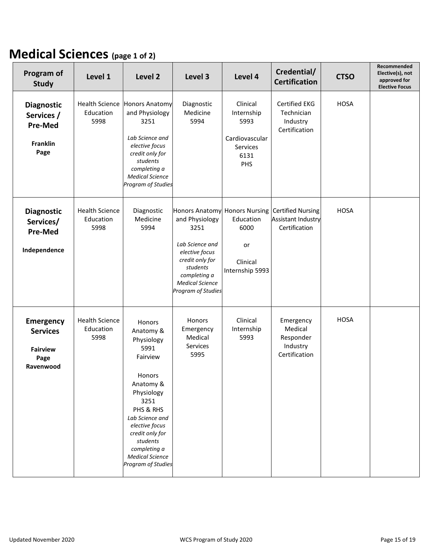### **Medical Sciences (page 1 of 2)**

| Program of<br><b>Study</b>                                                   | Level 1                                    | Level <sub>2</sub>                                                                                                                                                                                                                                  | Level 3                                                                                                                                                    | Level 4                                                                                 | Credential/<br><b>Certification</b>                             | <b>CTSO</b> | Recommended<br>Elective(s), not<br>approved for<br><b>Elective Focus</b> |
|------------------------------------------------------------------------------|--------------------------------------------|-----------------------------------------------------------------------------------------------------------------------------------------------------------------------------------------------------------------------------------------------------|------------------------------------------------------------------------------------------------------------------------------------------------------------|-----------------------------------------------------------------------------------------|-----------------------------------------------------------------|-------------|--------------------------------------------------------------------------|
| <b>Diagnostic</b><br>Services /<br><b>Pre-Med</b><br><b>Franklin</b><br>Page | <b>Health Science</b><br>Education<br>5998 | <b>Honors Anatomy</b><br>and Physiology<br>3251<br>Lab Science and<br>elective focus<br>credit only for<br>students<br>completing a<br><b>Medical Science</b><br>Program of Studies                                                                 | Diagnostic<br>Medicine<br>5994                                                                                                                             | Clinical<br>Internship<br>5993<br>Cardiovascular<br>Services<br>6131<br>PHS             | Certified EKG<br>Technician<br>Industry<br>Certification        | <b>HOSA</b> |                                                                          |
| <b>Diagnostic</b><br>Services/<br><b>Pre-Med</b><br>Independence             | <b>Health Science</b><br>Education<br>5998 | Diagnostic<br>Medicine<br>5994                                                                                                                                                                                                                      | and Physiology<br>3251<br>Lab Science and<br>elective focus<br>credit only for<br>students<br>completing a<br><b>Medical Science</b><br>Program of Studies | Honors Anatomy Honors Nursing<br>Education<br>6000<br>or<br>Clinical<br>Internship 5993 | <b>Certified Nursing</b><br>Assistant Industry<br>Certification | <b>HOSA</b> |                                                                          |
| <b>Emergency</b><br><b>Services</b><br><b>Fairview</b><br>Page<br>Ravenwood  | <b>Health Science</b><br>Education<br>5998 | Honors<br>Anatomy &<br>Physiology<br>5991<br>Fairview<br>Honors<br>Anatomy &<br>Physiology<br>3251<br>PHS & RHS<br>Lab Science and<br>elective focus<br>credit only for<br>students<br>completing a<br><b>Medical Science</b><br>Program of Studies | Honors<br>Emergency<br>Medical<br>Services<br>5995                                                                                                         | Clinical<br>Internship<br>5993                                                          | Emergency<br>Medical<br>Responder<br>Industry<br>Certification  | <b>HOSA</b> |                                                                          |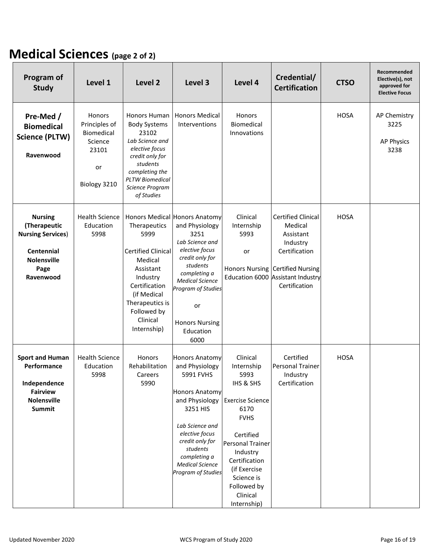### **Medical Sciences (page 2 of 2)**

| Program of<br><b>Study</b>                                                                                                 | Level 1                                                                         | Level 2                                                                                                                                                                                       | Level 3                                                                                                                                                                                                                                         | Level 4                                                                                                                                                                                                                                    | Credential/<br><b>Certification</b>                                                                                                                                      | <b>CTSO</b> | Recommended<br>Elective(s), not<br>approved for<br><b>Elective Focus</b> |
|----------------------------------------------------------------------------------------------------------------------------|---------------------------------------------------------------------------------|-----------------------------------------------------------------------------------------------------------------------------------------------------------------------------------------------|-------------------------------------------------------------------------------------------------------------------------------------------------------------------------------------------------------------------------------------------------|--------------------------------------------------------------------------------------------------------------------------------------------------------------------------------------------------------------------------------------------|--------------------------------------------------------------------------------------------------------------------------------------------------------------------------|-------------|--------------------------------------------------------------------------|
| Pre-Med /<br><b>Biomedical</b><br><b>Science (PLTW)</b><br>Ravenwood                                                       | Honors<br>Principles of<br>Biomedical<br>Science<br>23101<br>or<br>Biology 3210 | Honors Human<br><b>Body Systems</b><br>23102<br>Lab Science and<br>elective focus<br>credit only for<br>students<br>completing the<br><b>PLTW Biomedical</b><br>Science Program<br>of Studies | <b>Honors Medical</b><br>Interventions                                                                                                                                                                                                          | Honors<br>Biomedical<br>Innovations                                                                                                                                                                                                        |                                                                                                                                                                          | <b>HOSA</b> | AP Chemistry<br>3225<br><b>AP Physics</b><br>3238                        |
| <b>Nursing</b><br>(Therapeutic<br><b>Nursing Services)</b><br><b>Centennial</b><br><b>Nolensville</b><br>Page<br>Ravenwood | <b>Health Science</b><br>Education<br>5998                                      | Therapeutics<br>5999<br><b>Certified Clinical</b><br>Medical<br>Assistant<br>Industry<br>Certification<br>(if Medical<br>Therapeutics is<br>Followed by<br>Clinical<br>Internship)            | Honors Medical Honors Anatomy<br>and Physiology<br>3251<br>Lab Science and<br>elective focus<br>credit only for<br>students<br>completing a<br><b>Medical Science</b><br>Program of Studies<br>or<br><b>Honors Nursing</b><br>Education<br>6000 | Clinical<br>Internship<br>5993<br>or                                                                                                                                                                                                       | <b>Certified Clinical</b><br>Medical<br>Assistant<br>Industry<br>Certification<br>Honors Nursing Certified Nursing<br>Education 6000 Assistant Industry<br>Certification | <b>HOSA</b> |                                                                          |
| <b>Sport and Human</b><br>Performance<br>Independence<br><b>Fairview</b><br><b>Nolensville</b><br><b>Summit</b>            | <b>Health Science</b><br>Education<br>5998                                      | Honors<br>Rehabilitation<br>Careers<br>5990                                                                                                                                                   | <b>Honors Anatomy</b><br>and Physiology<br>5991 FVHS<br><b>Honors Anatomy</b><br>and Physiology<br>3251 HIS<br>Lab Science and<br>elective focus<br>credit only for<br>students<br>completing a<br><b>Medical Science</b><br>Program of Studies | Clinical<br>Internship<br>5993<br>IHS & SHS<br><b>Exercise Science</b><br>6170<br><b>FVHS</b><br>Certified<br><b>Personal Trainer</b><br>Industry<br>Certification<br>(if Exercise<br>Science is<br>Followed by<br>Clinical<br>Internship) | Certified<br><b>Personal Trainer</b><br>Industry<br>Certification                                                                                                        | <b>HOSA</b> |                                                                          |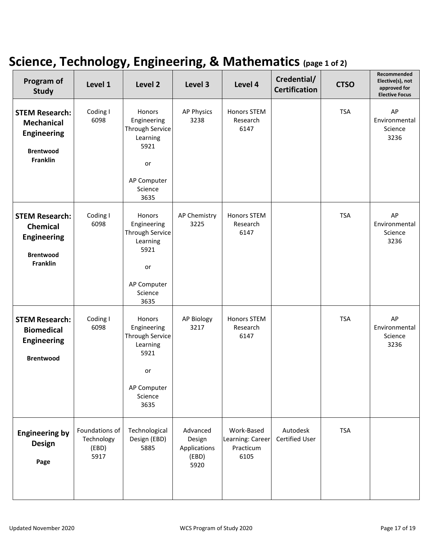### **Science, Technology, Engineering, & Mathematics (page 1 of 2)**

| Program of<br><b>Study</b>                                                                              | Level 1                                       | Level 2                                                                                                     | Level 3                                             | Level 4                                             | Credential/<br><b>Certification</b> | <b>CTSO</b> | Recommended<br>Elective(s), not<br>approved for<br><b>Elective Focus</b> |
|---------------------------------------------------------------------------------------------------------|-----------------------------------------------|-------------------------------------------------------------------------------------------------------------|-----------------------------------------------------|-----------------------------------------------------|-------------------------------------|-------------|--------------------------------------------------------------------------|
| <b>STEM Research:</b><br><b>Mechanical</b><br><b>Engineering</b><br><b>Brentwood</b><br><b>Franklin</b> | Coding I<br>6098                              | Honors<br>Engineering<br>Through Service<br>Learning<br>5921<br>or<br>AP Computer<br>Science<br>3635        | <b>AP Physics</b><br>3238                           | Honors STEM<br>Research<br>6147                     |                                     | <b>TSA</b>  | AP<br>Environmental<br>Science<br>3236                                   |
| <b>STEM Research:</b><br><b>Chemical</b><br><b>Engineering</b><br><b>Brentwood</b><br>Franklin          | Coding I<br>6098                              | Honors<br>Engineering<br><b>Through Service</b><br>Learning<br>5921<br>or<br>AP Computer<br>Science<br>3635 | AP Chemistry<br>3225                                | Honors STEM<br>Research<br>6147                     |                                     | <b>TSA</b>  | AP<br>Environmental<br>Science<br>3236                                   |
| <b>STEM Research:</b><br><b>Biomedical</b><br><b>Engineering</b><br><b>Brentwood</b>                    | Coding I<br>6098                              | <b>Honors</b><br>Engineering<br>Through Service<br>Learning<br>5921<br>or<br>AP Computer<br>Science<br>3635 | <b>AP Biology</b><br>3217                           | Honors STEM<br>Research<br>6147                     |                                     | <b>TSA</b>  | AP<br>Environmental<br>Science<br>3236                                   |
| <b>Engineering by</b><br><b>Design</b><br>Page                                                          | Foundations of<br>Technology<br>(EBD)<br>5917 | Technological<br>Design (EBD)<br>5885                                                                       | Advanced<br>Design<br>Applications<br>(EBD)<br>5920 | Work-Based<br>Learning: Career<br>Practicum<br>6105 | Autodesk<br><b>Certified User</b>   | <b>TSA</b>  |                                                                          |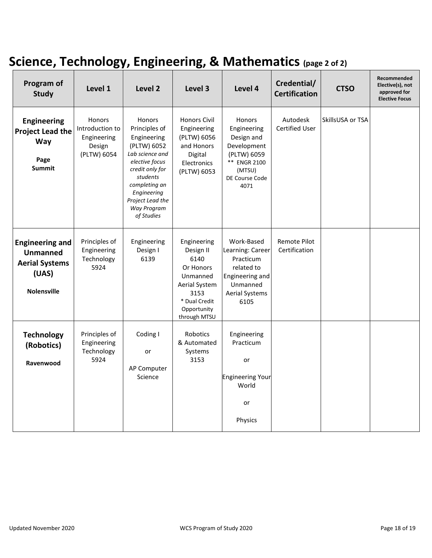## **Science, Technology, Engineering, & Mathematics (page 2 of 2)**

| Program of<br><b>Study</b>                                                                        | Level 1                                                                  | Level 2                                                                                                                                                                                                           | Level 3                                                                                                                            | Level 4                                                                                                                      | Credential/<br><b>Certification</b>  | <b>CTSO</b>      | Recommended<br>Elective(s), not<br>approved for<br><b>Elective Focus</b> |
|---------------------------------------------------------------------------------------------------|--------------------------------------------------------------------------|-------------------------------------------------------------------------------------------------------------------------------------------------------------------------------------------------------------------|------------------------------------------------------------------------------------------------------------------------------------|------------------------------------------------------------------------------------------------------------------------------|--------------------------------------|------------------|--------------------------------------------------------------------------|
| <b>Engineering</b><br><b>Project Lead the</b><br><b>Way</b><br>Page<br><b>Summit</b>              | <b>Honors</b><br>Introduction to<br>Engineering<br>Design<br>(PLTW) 6054 | <b>Honors</b><br>Principles of<br>Engineering<br>(PLTW) 6052<br>Lab science and<br>elective focus<br>credit only for<br>students<br>completing an<br>Engineering<br>Project Lead the<br>Way Program<br>of Studies | <b>Honors Civil</b><br>Engineering<br>(PLTW) 6056<br>and Honors<br>Digital<br>Electronics<br>(PLTW) 6053                           | <b>Honors</b><br>Engineering<br>Design and<br>Development<br>(PLTW) 6059<br>** ENGR 2100<br>(MTSU)<br>DE Course Code<br>4071 | Autodesk<br>Certified User           | SkillsUSA or TSA |                                                                          |
| <b>Engineering and</b><br><b>Unmanned</b><br><b>Aerial Systems</b><br>(UAS)<br><b>Nolensville</b> | Principles of<br>Engineering<br>Technology<br>5924                       | Engineering<br>Design I<br>6139                                                                                                                                                                                   | Engineering<br>Design II<br>6140<br>Or Honors<br>Unmanned<br>Aerial System<br>3153<br>* Dual Credit<br>Opportunity<br>through MTSU | Work-Based<br>Learning: Career<br>Practicum<br>related to<br>Engineering and<br>Unmanned<br><b>Aerial Systems</b><br>6105    | <b>Remote Pilot</b><br>Certification |                  |                                                                          |
| <b>Technology</b><br>(Robotics)<br>Ravenwood                                                      | Principles of<br>Engineering<br>Technology<br>5924                       | Coding I<br>or<br>AP Computer<br>Science                                                                                                                                                                          | <b>Robotics</b><br>& Automated<br>Systems<br>3153                                                                                  | Engineering<br>Practicum<br>or<br><b>Engineering Your</b><br>World<br>or<br>Physics                                          |                                      |                  |                                                                          |